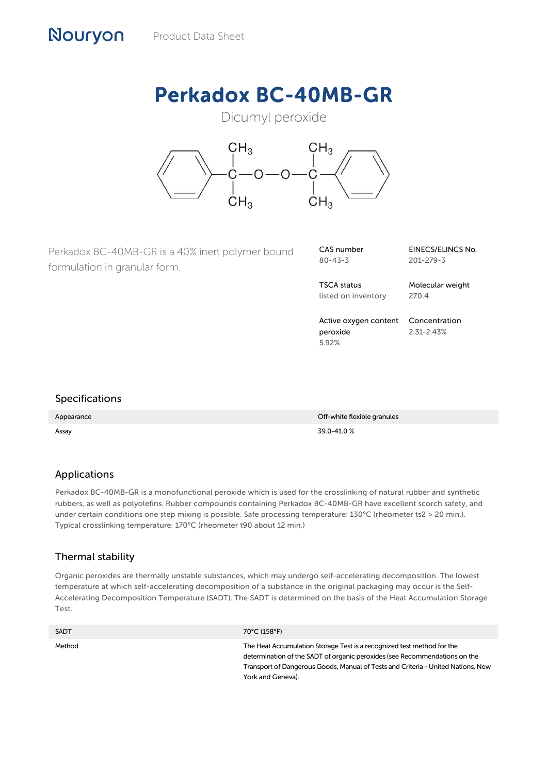# Perkadox BC-40MB-GR

# Dicumyl peroxide



Perkadox BC-40MB-GR is a 40% inert polymer bound formulation in granular form.

| CAS number    |  |
|---------------|--|
| $80 - 43 - 3$ |  |

TSCA status listed on inventory

Molecular weight 270.4

201-279-3

EINECS/ELINCS No.

Active oxygen content peroxide 5.92% Concentration 2.31-2.43%

# Specifications

Nouryon

Appearance **Off-white flexible granules**  $\blacksquare$ Assay 39.0-41.0 %

#### Applications

Perkadox BC-40MB-GR is a monofunctional peroxide which is used for the crosslinking of natural rubber and synthetic rubbers, as well as polyolefins. Rubber compounds containing Perkadox BC-40MB-GR have excellent scorch safety, and under certain conditions one step mixing is possible. Safe processing temperature: 130°C (rheometer ts2 > 20 min.). Typical crosslinking temperature: 170°C (rheometer t90 about 12 min.)

#### Thermal stability

Organic peroxides are thermally unstable substances, which may undergo self-accelerating decomposition. The lowest temperature at which self-accelerating decomposition of a substance in the original packaging may occur is the Self-Accelerating Decomposition Temperature (SADT). The SADT is determined on the basis of the Heat Accumulation Storage Test.

| <b>SADT</b> | 70°C (158°F)                                                                                                                                                                                                                                                  |
|-------------|---------------------------------------------------------------------------------------------------------------------------------------------------------------------------------------------------------------------------------------------------------------|
| Method      | The Heat Accumulation Storage Test is a recognized test method for the<br>determination of the SADT of organic peroxides (see Recommendations on the<br>Transport of Dangerous Goods, Manual of Tests and Criteria - United Nations, New<br>York and Geneva). |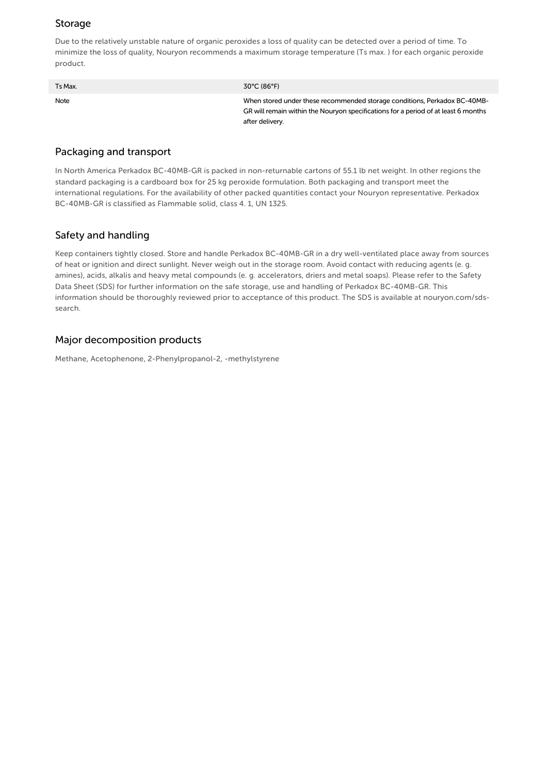# Storage

Due to the relatively unstable nature of organic peroxides a loss of quality can be detected over a period of time. To minimize the loss of quality, Nouryon recommends a maximum storage temperature (Ts max. ) for each organic peroxide product.

| Ts Max. | 30°C (86°F)                                                                                                                                                                        |
|---------|------------------------------------------------------------------------------------------------------------------------------------------------------------------------------------|
| Note    | When stored under these recommended storage conditions, Perkadox BC-40MB-<br>GR will remain within the Nouryon specifications for a period of at least 6 months<br>after delivery. |

### Packaging and transport

In North America Perkadox BC-40MB-GR is packed in non-returnable cartons of 55.1 lb net weight. In other regions the standard packaging is a cardboard box for 25 kg peroxide formulation. Both packaging and transport meet the international regulations. For the availability of other packed quantities contact your Nouryon representative. Perkadox BC-40MB-GR is classified as Flammable solid, class 4. 1, UN 1325.

# Safety and handling

Keep containers tightly closed. Store and handle Perkadox BC-40MB-GR in a dry well-ventilated place away from sources of heat or ignition and direct sunlight. Never weigh out in the storage room. Avoid contact with reducing agents (e. g. amines), acids, alkalis and heavy metal compounds (e. g. accelerators, driers and metal soaps). Please refer to the Safety Data Sheet (SDS) for further information on the safe storage, use and handling of Perkadox BC-40MB-GR. This information should be thoroughly reviewed prior to acceptance of this product. The SDS is available at nouryon.com/sdssearch.

#### Major decomposition products

Methane, Acetophenone, 2-Phenylpropanol-2, -methylstyrene